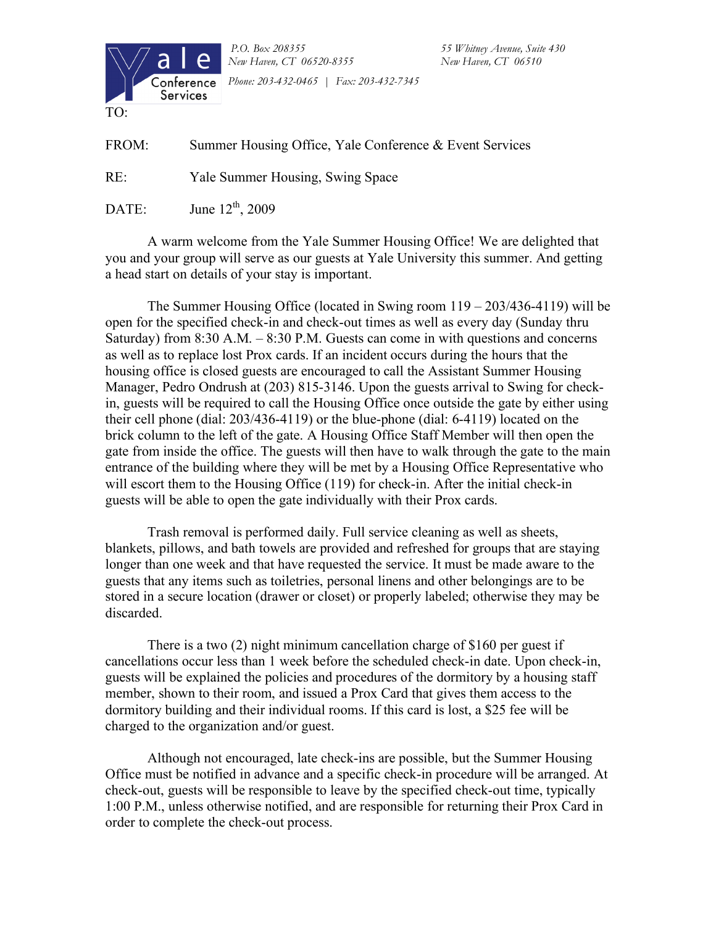

*P.O. Box 208355 55 Whitney Avenue, Suite 430 New Haven, CT 06520-8355 New Haven, CT 06510 Phone: 203-432-0465 | Fax: 203-432-7345* 

FROM: Summer Housing Office, Yale Conference & Event Services

RE: Yale Summer Housing, Swing Space

DATE: June  $12^{th}$ , 2009

A warm welcome from the Yale Summer Housing Office! We are delighted that you and your group will serve as our guests at Yale University this summer. And getting a head start on details of your stay is important.

The Summer Housing Office (located in Swing room 119 – 203/436-4119) will be open for the specified check-in and check-out times as well as every day (Sunday thru Saturday) from 8:30 A.M. – 8:30 P.M. Guests can come in with questions and concerns as well as to replace lost Prox cards. If an incident occurs during the hours that the housing office is closed guests are encouraged to call the Assistant Summer Housing Manager, Pedro Ondrush at (203) 815-3146. Upon the guests arrival to Swing for checkin, guests will be required to call the Housing Office once outside the gate by either using their cell phone (dial: 203/436-4119) or the blue-phone (dial: 6-4119) located on the brick column to the left of the gate. A Housing Office Staff Member will then open the gate from inside the office. The guests will then have to walk through the gate to the main entrance of the building where they will be met by a Housing Office Representative who will escort them to the Housing Office (119) for check-in. After the initial check-in guests will be able to open the gate individually with their Prox cards.

Trash removal is performed daily. Full service cleaning as well as sheets, blankets, pillows, and bath towels are provided and refreshed for groups that are staying longer than one week and that have requested the service. It must be made aware to the guests that any items such as toiletries, personal linens and other belongings are to be stored in a secure location (drawer or closet) or properly labeled; otherwise they may be discarded.

There is a two (2) night minimum cancellation charge of \$160 per guest if cancellations occur less than 1 week before the scheduled check-in date. Upon check-in, guests will be explained the policies and procedures of the dormitory by a housing staff member, shown to their room, and issued a Prox Card that gives them access to the dormitory building and their individual rooms. If this card is lost, a \$25 fee will be charged to the organization and/or guest.

Although not encouraged, late check-ins are possible, but the Summer Housing Office must be notified in advance and a specific check-in procedure will be arranged. At check-out, guests will be responsible to leave by the specified check-out time, typically 1:00 P.M., unless otherwise notified, and are responsible for returning their Prox Card in order to complete the check-out process.